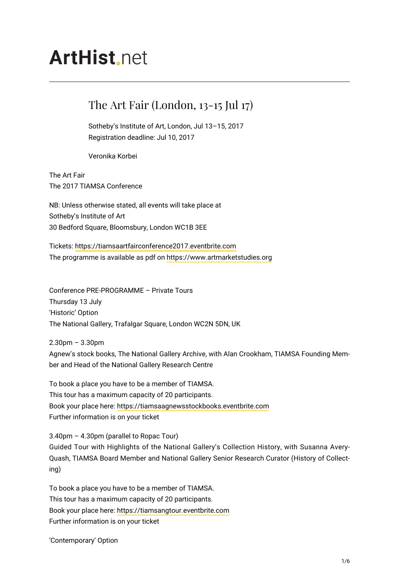# **ArtHist** net

## The Art Fair (London, 13-15 Jul 17)

Sotheby's Institute of Art, London, Jul 13–15, 2017 Registration deadline: Jul 10, 2017

Veronika Korbei

The Art Fair The 2017 TIAMSA Conference

NB: Unless otherwise stated, all events will take place at Sotheby's Institute of Art 30 Bedford Square, Bloomsbury, London WC1B 3EE

Tickets:<https://tiamsaartfairconference2017.eventbrite.com> The programme is available as pdf on<https://www.artmarketstudies.org>

Conference PRE-PROGRAMME – Private Tours Thursday 13 July 'Historic' Option The National Gallery, Trafalgar Square, London WC2N 5DN, UK

2.30pm – 3.30pm Agnew's stock books, The National Gallery Archive, with Alan Crookham, TIAMSA Founding Member and Head of the National Gallery Research Centre

To book a place you have to be a member of TIAMSA. This tour has a maximum capacity of 20 participants. Book your place here: <https://tiamsaagnewsstockbooks.eventbrite.com> Further information is on your ticket

3.40pm – 4.30pm (parallel to Ropac Tour) Guided Tour with Highlights of the National Gallery's Collection History, with Susanna Avery-Quash, TIAMSA Board Member and National Gallery Senior Research Curator (History of Collecting)

To book a place you have to be a member of TIAMSA. This tour has a maximum capacity of 20 participants. Book your place here: <https://tiamsangtour.eventbrite.com> Further information is on your ticket

'Contemporary' Option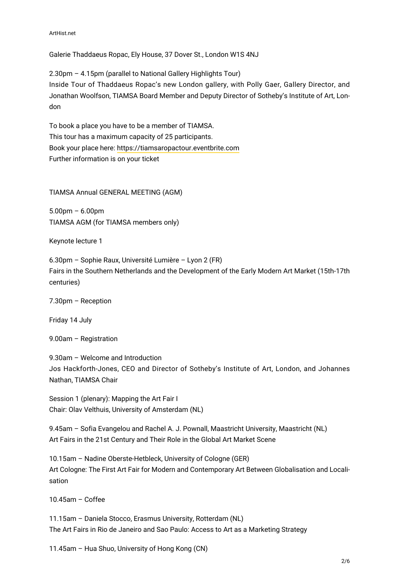Galerie Thaddaeus Ropac, Ely House, 37 Dover St., London W1S 4NJ

2.30pm – 4.15pm (parallel to National Gallery Highlights Tour) Inside Tour of Thaddaeus Ropac's new London gallery, with Polly Gaer, Gallery Director, and Jonathan Woolfson, TIAMSA Board Member and Deputy Director of Sotheby's Institute of Art, London

To book a place you have to be a member of TIAMSA. This tour has a maximum capacity of 25 participants. Book your place here: <https://tiamsaropactour.eventbrite.com> Further information is on your ticket

TIAMSA Annual GENERAL MEETING (AGM)

5.00pm – 6.00pm TIAMSA AGM (for TIAMSA members only)

Keynote lecture 1

6.30pm – Sophie Raux, Université Lumière – Lyon 2 (FR) Fairs in the Southern Netherlands and the Development of the Early Modern Art Market (15th-17th centuries)

7.30pm – Reception

Friday 14 July

9.00am – Registration

9.30am – Welcome and Introduction Jos Hackforth-Jones, CEO and Director of Sotheby's Institute of Art, London, and Johannes Nathan, TIAMSA Chair

Session 1 (plenary): Mapping the Art Fair I Chair: Olav Velthuis, University of Amsterdam (NL)

9.45am – Sofia Evangelou and Rachel A. J. Pownall, Maastricht University, Maastricht (NL) Art Fairs in the 21st Century and Their Role in the Global Art Market Scene

10.15am – Nadine Oberste-Hetbleck, University of Cologne (GER) Art Cologne: The First Art Fair for Modern and Contemporary Art Between Globalisation and Localisation

10.45am – Coffee

11.15am – Daniela Stocco, Erasmus University, Rotterdam (NL) The Art Fairs in Rio de Janeiro and Sao Paulo: Access to Art as a Marketing Strategy

11.45am – Hua Shuo, University of Hong Kong (CN)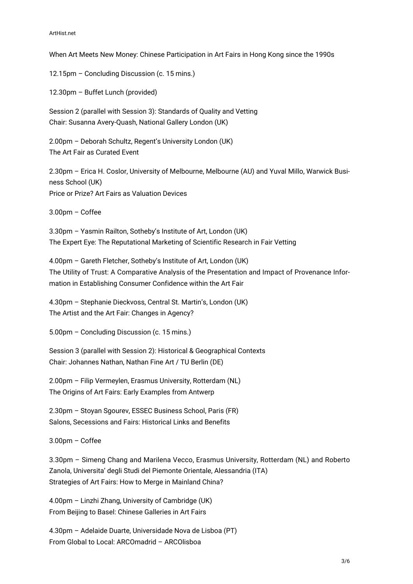When Art Meets New Money: Chinese Participation in Art Fairs in Hong Kong since the 1990s

12.15pm – Concluding Discussion (c. 15 mins.)

12.30pm – Buffet Lunch (provided)

Session 2 (parallel with Session 3): Standards of Quality and Vetting Chair: Susanna Avery-Quash, National Gallery London (UK)

2.00pm – Deborah Schultz, Regent's University London (UK) The Art Fair as Curated Event

2.30pm – Erica H. Coslor, University of Melbourne, Melbourne (AU) and Yuval Millo, Warwick Business School (UK) Price or Prize? Art Fairs as Valuation Devices

3.00pm – Coffee

3.30pm – Yasmin Railton, Sotheby's Institute of Art, London (UK) The Expert Eye: The Reputational Marketing of Scientific Research in Fair Vetting

4.00pm – Gareth Fletcher, Sotheby's Institute of Art, London (UK) The Utility of Trust: A Comparative Analysis of the Presentation and Impact of Provenance Information in Establishing Consumer Confidence within the Art Fair

4.30pm – Stephanie Dieckvoss, Central St. Martin's, London (UK) The Artist and the Art Fair: Changes in Agency?

5.00pm – Concluding Discussion (c. 15 mins.)

Session 3 (parallel with Session 2): Historical & Geographical Contexts Chair: Johannes Nathan, Nathan Fine Art / TU Berlin (DE)

2.00pm – Filip Vermeylen, Erasmus University, Rotterdam (NL) The Origins of Art Fairs: Early Examples from Antwerp

2.30pm – Stoyan Sgourev, ESSEC Business School, Paris (FR) Salons, Secessions and Fairs: Historical Links and Benefits

3.00pm – Coffee

3.30pm – Simeng Chang and Marilena Vecco, Erasmus University, Rotterdam (NL) and Roberto Zanola, Universita' degli Studi del Piemonte Orientale, Alessandria (ITA) Strategies of Art Fairs: How to Merge in Mainland China?

4.00pm – Linzhi Zhang, University of Cambridge (UK) From Beijing to Basel: Chinese Galleries in Art Fairs

4.30pm – Adelaide Duarte, Universidade Nova de Lisboa (PT) From Global to Local: ARCOmadrid – ARCOlisboa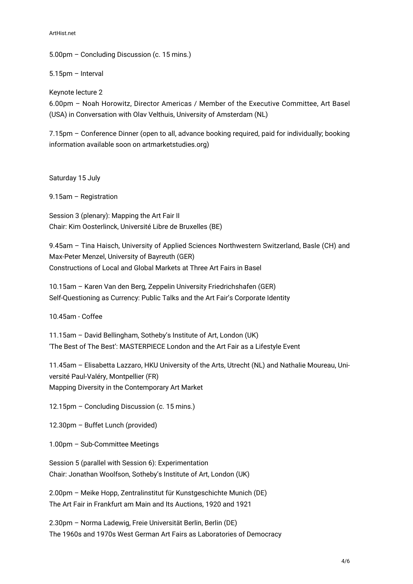#### ArtHist.net

5.00pm – Concluding Discussion (c. 15 mins.)

5.15pm – Interval

Keynote lecture 2

6.00pm – Noah Horowitz, Director Americas / Member of the Executive Committee, Art Basel (USA) in Conversation with Olav Velthuis, University of Amsterdam (NL)

7.15pm – Conference Dinner (open to all, advance booking required, paid for individually; booking information available soon on artmarketstudies.org)

Saturday 15 July

9.15am – Registration

Session 3 (plenary): Mapping the Art Fair II Chair: Kim Oosterlinck, Université Libre de Bruxelles (BE)

9.45am – Tina Haisch, University of Applied Sciences Northwestern Switzerland, Basle (CH) and Max-Peter Menzel, University of Bayreuth (GER) Constructions of Local and Global Markets at Three Art Fairs in Basel

10.15am – Karen Van den Berg, Zeppelin University Friedrichshafen (GER) Self-Questioning as Currency: Public Talks and the Art Fair's Corporate Identity

10.45am - Coffee

11.15am – David Bellingham, Sotheby's Institute of Art, London (UK) 'The Best of The Best': MASTERPIECE London and the Art Fair as a Lifestyle Event

11.45am – Elisabetta Lazzaro, HKU University of the Arts, Utrecht (NL) and Nathalie Moureau, Université Paul-Valéry, Montpellier (FR) Mapping Diversity in the Contemporary Art Market

12.15pm – Concluding Discussion (c. 15 mins.)

12.30pm – Buffet Lunch (provided)

1.00pm – Sub-Committee Meetings

Session 5 (parallel with Session 6): Experimentation Chair: Jonathan Woolfson, Sotheby's Institute of Art, London (UK)

2.00pm – Meike Hopp, Zentralinstitut für Kunstgeschichte Munich (DE) The Art Fair in Frankfurt am Main and Its Auctions, 1920 and 1921

2.30pm – Norma Ladewig, Freie Universität Berlin, Berlin (DE) The 1960s and 1970s West German Art Fairs as Laboratories of Democracy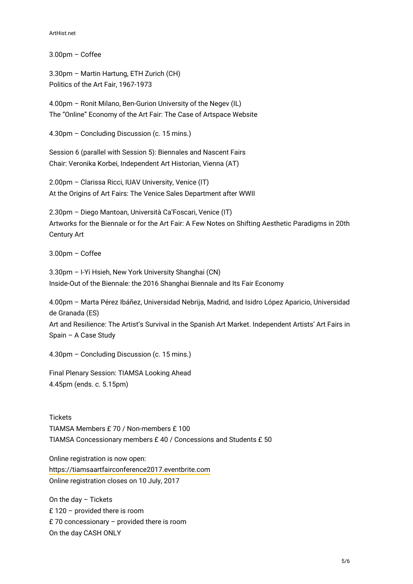#### ArtHist.net

3.00pm – Coffee

3.30pm – Martin Hartung, ETH Zurich (CH) Politics of the Art Fair, 1967-1973

4.00pm – Ronit Milano, Ben-Gurion University of the Negev (IL) The "Online" Economy of the Art Fair: The Case of Artspace Website

4.30pm – Concluding Discussion (c. 15 mins.)

Session 6 (parallel with Session 5): Biennales and Nascent Fairs Chair: Veronika Korbei, Independent Art Historian, Vienna (AT)

2.00pm – Clarissa Ricci, IUAV University, Venice (IT) At the Origins of Art Fairs: The Venice Sales Department after WWII

2.30pm – Diego Mantoan, Università Ca'Foscari, Venice (IT) Artworks for the Biennale or for the Art Fair: A Few Notes on Shifting Aesthetic Paradigms in 20th Century Art

3.00pm – Coffee

3.30pm – I-Yi Hsieh, New York University Shanghai (CN) Inside-Out of the Biennale: the 2016 Shanghai Biennale and Its Fair Economy

4.00pm – Marta Pérez Ibáñez, Universidad Nebrija, Madrid, and Isidro López Aparicio, Universidad de Granada (ES)

Art and Resilience: The Artist's Survival in the Spanish Art Market. Independent Artists' Art Fairs in Spain – A Case Study

4.30pm – Concluding Discussion (c. 15 mins.)

Final Plenary Session: TIAMSA Looking Ahead 4.45pm (ends. c. 5.15pm)

**Tickets** TIAMSA Members £ 70 / Non-members £ 100 TIAMSA Concessionary members £ 40 / Concessions and Students £ 50

Online registration is now open: <https://tiamsaartfairconference2017.eventbrite.com> Online registration closes on 10 July, 2017

On the day – Tickets £ 120 – provided there is room £ 70 concessionary – provided there is room On the day CASH ONLY